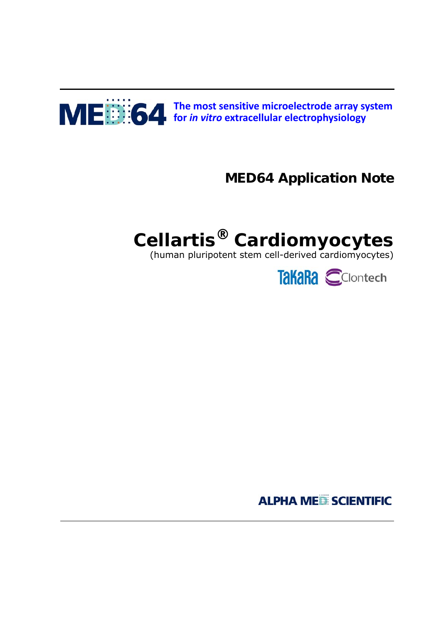

**The most sensitive microelectrode array system for** *in vitro* **extracellular electrophysiology**

# **MED64 Application Note**

# **Cellartis® Cardiomyocytes**

(human pluripotent stem cell-derived cardiomyocytes)



**ALPHA MEE SCIENTIFIC**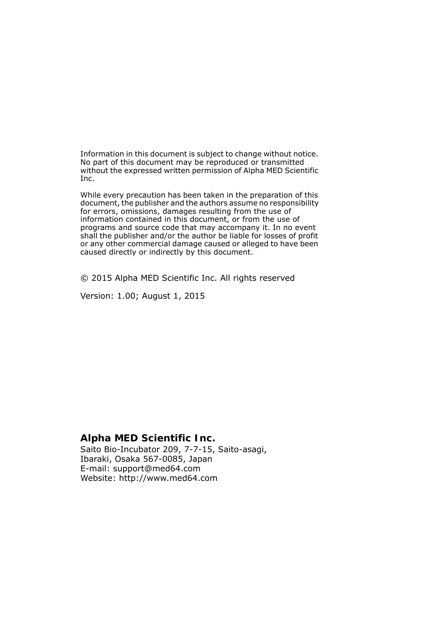Information in this document is subject to change without notice. No part of this document may be reproduced or transmitted without the expressed written permission of Alpha MED Scientific Inc.

While every precaution has been taken in the preparation of this document, the publisher and the authors assume no responsibility for errors, omissions, damages resulting from the use of information contained in this document, or from the use of programs and source code that may accompany it. In no event shall the publisher and/or the author be liable for losses of profit or any other commercial damage caused or alleged to have been caused directly or indirectly by this document.

© 2015 Alpha MED Scientific Inc. All rights reserved

Version: 1.00; August 1, 2015

### **Alpha MED Scientific Inc.**

Saito Bio-Incubator 209, 7-7-15, Saito-asagi, Ibaraki, Osaka 567-0085, Japan E-mail: support@med64.com Website: http://www.med64.com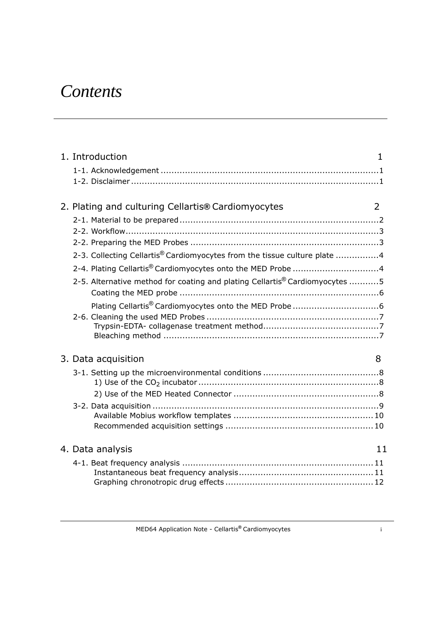# *Contents*

| 1. Introduction                                                             | 1. |
|-----------------------------------------------------------------------------|----|
|                                                                             |    |
|                                                                             |    |
| 2. Plating and culturing Cellartis® Cardiomyocytes                          | 2  |
|                                                                             |    |
|                                                                             |    |
|                                                                             |    |
| 2-3. Collecting Cellartis® Cardiomyocytes from the tissue culture plate 4   |    |
| 2-4. Plating Cellartis <sup>®</sup> Cardiomyocytes onto the MED Probe 4     |    |
| 2-5. Alternative method for coating and plating Cellartis® Cardiomyocytes 5 |    |
|                                                                             |    |
|                                                                             |    |
|                                                                             |    |
|                                                                             |    |
|                                                                             |    |
| 3. Data acquisition                                                         | 8  |
|                                                                             |    |
|                                                                             |    |
|                                                                             |    |
|                                                                             |    |
|                                                                             |    |
|                                                                             |    |
| 4. Data analysis                                                            | 11 |
|                                                                             |    |
|                                                                             |    |
|                                                                             |    |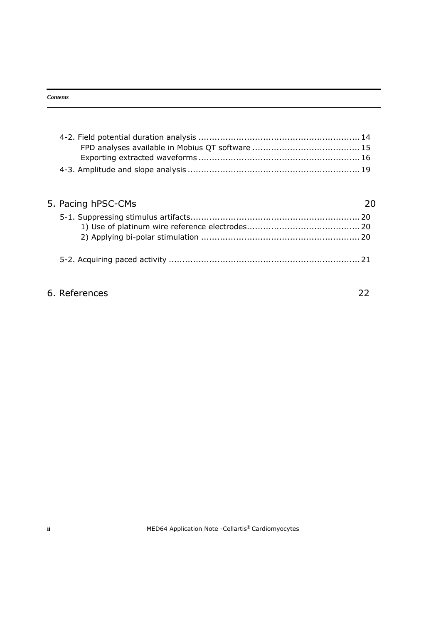#### *Contents*

### 5. Pacing hPSC-CMs 20

### 6. References 22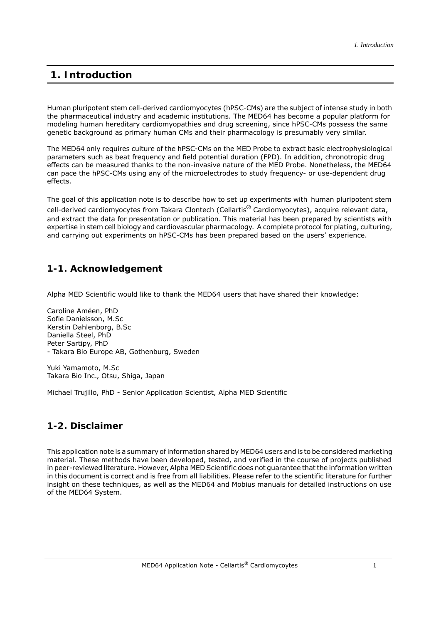### **1. Introduction**

Human pluripotent stem cell-derived cardiomyocytes (hPSC-CMs) are the subject of intense study in both the pharmaceutical industry and academic institutions. The MED64 has become a popular platform for modeling human hereditary cardiomyopathies and drug screening, since hPSC-CMs possess the same genetic background as primary human CMs and their pharmacology is presumably very similar.

The MED64 only requires culture of the hPSC-CMs on the MED Probe to extract basic electrophysiological parameters such as beat frequency and field potential duration (FPD). In addition, chronotropic drug effects can be measured thanks to the non-invasive nature of the MED Probe. Nonetheless, the MED64 can pace the hPSC-CMs using any of the microelectrodes to study frequency- or use-dependent drug effects.

The goal of this application note is to describe how to set up experiments with human pluripotent stem cell-derived cardiomyocytes from Takara Clontech (Cellartis<sup>®</sup> Cardiomyocytes), acquire relevant data, and extract the data for presentation or publication. This material has been prepared by scientists with expertise in stem cell biology and cardiovascular pharmacology. A complete protocol for plating, culturing, and carrying out experiments on hPSC-CMs has been prepared based on the users' experience.

### **1-1. Acknowledgement**

Alpha MED Scientific would like to thank the MED64 users that have shared their knowledge:

Caroline Améen, PhD Sofie Danielsson, M.Sc Kerstin Dahlenborg, B.Sc Daniella Steel, PhD Peter Sartipy, PhD - Takara Bio Europe AB, Gothenburg, Sweden

Yuki Yamamoto, M.Sc Takara Bio Inc., Otsu, Shiga, Japan

Michael Trujillo, PhD - Senior Application Scientist, Alpha MED Scientific

### **1-2. Disclaimer**

This application note is a summary of information shared by MED64 users and is to be considered marketing material. These methods have been developed, tested, and verified in the course of projects published in peer-reviewed literature. However, Alpha MED Scientific does not guarantee that the information written in this document is correct and is free from all liabilities. Please refer to the scientific literature for further insight on these techniques, as well as the MED64 and Mobius manuals for detailed instructions on use of the MED64 System.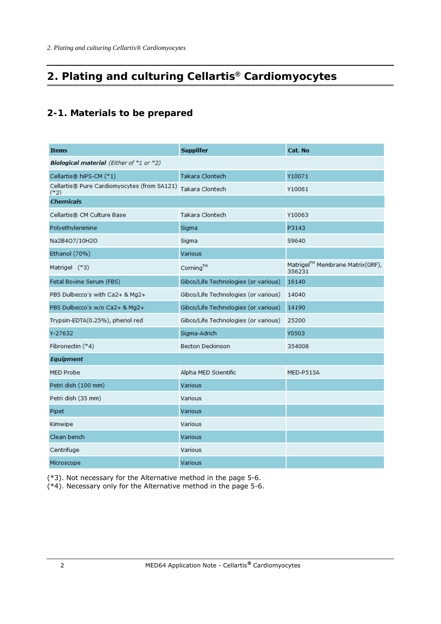## **2. Plating and culturing Cellartis® Cardiomyocytes**

### **2-1. Materials to be prepared**

| <b>Items</b>                                          | <b>Supplifer</b>                     | Cat. No                                   |  |  |  |  |
|-------------------------------------------------------|--------------------------------------|-------------------------------------------|--|--|--|--|
| <b>Biological material</b> (Either of *1 or *2)       |                                      |                                           |  |  |  |  |
| Cellartis® hiPS-CM (*1)                               | Takara Clontech                      | Y10071                                    |  |  |  |  |
| Cellartis® Pure Cardiomyocytes (from SA121)<br>$(*2)$ | <b>Takara Clontech</b>               | Y10061                                    |  |  |  |  |
| <b>Chemicals</b>                                      |                                      |                                           |  |  |  |  |
| Cellartis® CM Culture Base                            | Takara Clontech                      | Y10063                                    |  |  |  |  |
| Polyethylenimine                                      | Sigma                                | P3143                                     |  |  |  |  |
| Na2B4O7/10H2O                                         | Sigma                                | S9640                                     |  |  |  |  |
| Ethanol (70%)                                         | Various                              |                                           |  |  |  |  |
| Matrigel (*3)                                         | Corning™                             | Matrigel™ Membrane Matrix(GRF),<br>356231 |  |  |  |  |
| Fetal Bovine Serum (FBS)                              | Gibco/Life Technologies (or various) | 16140                                     |  |  |  |  |
| PBS Dulbecco's with Ca2+ & Mg2+                       | Gibco/Life Technologies (or various) | 14040                                     |  |  |  |  |
| PBS Dulbecco's w/o Ca2+ & Mg2+                        | Gibco/Life Technologies (or various) | 14190                                     |  |  |  |  |
| Trypsin-EDTA(0.25%), phenol red                       | Gibco/Life Technologies (or various) | 25200                                     |  |  |  |  |
| Y-27632                                               | Sigma-Adrich                         | Y0503                                     |  |  |  |  |
| Fibronectin (*4)                                      | <b>Becton Deckinson</b>              | 354008                                    |  |  |  |  |
| <b>Equipment</b>                                      |                                      |                                           |  |  |  |  |
| <b>MED Probe</b>                                      | Alpha MED Scientific                 | MED-P515A                                 |  |  |  |  |
| Petri dish (100 mm)                                   | Various                              |                                           |  |  |  |  |
| Petri dish (35 mm)                                    | Various                              |                                           |  |  |  |  |
| Pipet                                                 | Various                              |                                           |  |  |  |  |
| Kimwipe                                               | Various                              |                                           |  |  |  |  |
| Clean bench                                           | Various                              |                                           |  |  |  |  |
| Centrifuge                                            | Various                              |                                           |  |  |  |  |
| Microscope                                            | Various                              |                                           |  |  |  |  |

(\*3). Not necessary for the Alternative method in the page 5-6.

(\*4). Necessary only for the Alternative method in the page 5-6.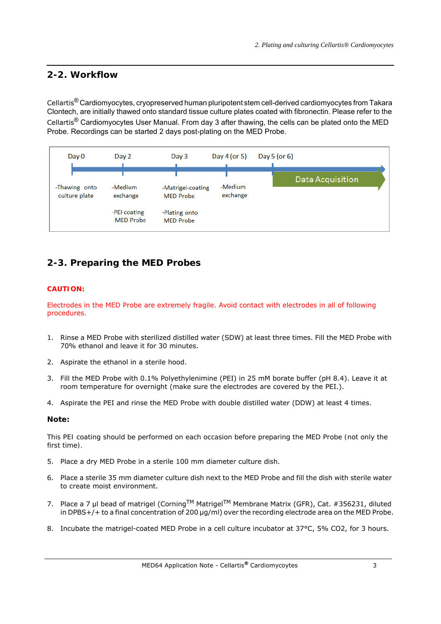### **2-2. Workflow**

Cellartis® Cardiomyocytes, cryopreserved human pluripotent stem cell-derived cardiomyocytes from Takara Clontech, are initially thawed onto standard tissue culture plates coated with fibronectin. Please refer to the Cellartis® Cardiomyocytes User Manual. From day 3 after thawing, the cells can be plated onto the MED Probe. Recordings can be started 2 days post-plating on the MED Probe.



### **2-3. Preparing the MED Probes**

#### **CAUTION:**

Electrodes in the MED Probe are extremely fragile. Avoid contact with electrodes in all of following procedures.

- 1. Rinse a MED Probe with sterilized distilled water (SDW) at least three times. Fill the MED Probe with 70% ethanol and leave it for 30 minutes.
- 2. Aspirate the ethanol in a sterile hood.
- 3. Fill the MED Probe with 0.1% Polyethylenimine (PEI) in 25 mM borate buffer (pH 8.4). Leave it at room temperature for overnight (make sure the electrodes are covered by the PEI.).
- 4. Aspirate the PEI and rinse the MED Probe with double distilled water (DDW) at least 4 times.

#### *Note:*

*This PEI coating should be performed on each occasion before preparing the MED Probe (not only the first time).* 

- 5. Place a dry MED Probe in a sterile 100 mm diameter culture dish.
- 6. Place a sterile 35 mm diameter culture dish next to the MED Probe and fill the dish with sterile water to create moist environment.
- 7. Place a 7 µl bead of matrigel (Corning<sup>TM</sup> Matrigel<sup>TM</sup> Membrane Matrix (GFR), Cat. #356231, diluted in DPBS+/+ to a final concentration of 200 μg/ml) over the recording electrode area on the MED Probe.
- 8. Incubate the matrigel-coated MED Probe in a cell culture incubator at 37°C, 5% CO2, for 3 hours.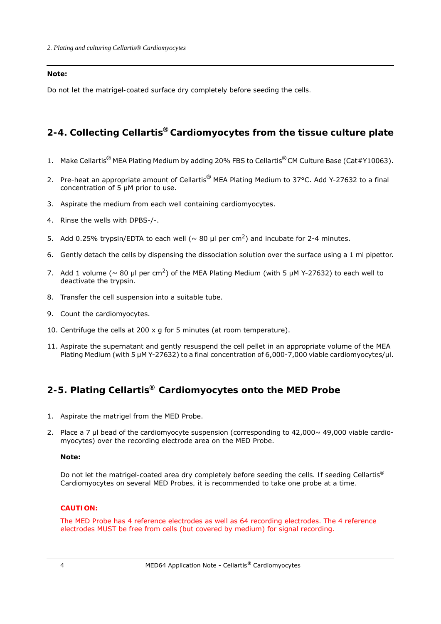#### *Note:*

*Do not let the matrigel-coated surface dry completely before seeding the cells.*

### **2-4. Collecting Cellartis® Cardiomyocytes from the tissue culture plate**

- 1. Make Cellartis<sup>®</sup> MEA Plating Medium by adding 20% FBS to Cellartis<sup>®</sup> CM Culture Base (Cat#Y10063).
- 2. Pre-heat an appropriate amount of Cellartis<sup>®</sup> MEA Plating Medium to 37°C. Add Y-27632 to a final concentration of 5 μM prior to use.
- 3. Aspirate the medium from each well containing cardiomyocytes.
- 4. Rinse the wells with DPBS-/-.
- 5. Add 0.25% trypsin/EDTA to each well ( $\sim$  80 µl per cm<sup>2</sup>) and incubate for 2-4 minutes.
- 6. Gently detach the cells by dispensing the dissociation solution over the surface using a 1 ml pipettor.
- 7. Add 1 volume ( $\sim$  80 µl per cm<sup>2</sup>) of the MEA Plating Medium (with 5 µM Y-27632) to each well to deactivate the trypsin.
- 8. Transfer the cell suspension into a suitable tube.
- 9. Count the cardiomyocytes.
- 10. Centrifuge the cells at 200 x g for 5 minutes (at room temperature).
- 11. Aspirate the supernatant and gently resuspend the cell pellet in an appropriate volume of the MEA Plating Medium (with 5 μM Y-27632) to a final concentration of 6,000-7,000 viable cardiomyocytes/μl.

### **2-5. Plating Cellartis® Cardiomyocytes onto the MED Probe**

- 1. Aspirate the matrigel from the MED Probe.
- 2. Place a 7 μl bead of the cardiomyocyte suspension (corresponding to 42,000~ 49,000 viable cardiomyocytes) over the recording electrode area on the MED Probe.

#### *Note:*

*Do not let the matrigel-coated area dry completely before seeding the cells. If seeding Cellartis® Cardiomyocytes on several MED Probes, it is recommended to take one probe at a time.*

#### **CAUTION:**

The MED Probe has 4 reference electrodes as well as 64 recording electrodes. The 4 reference electrodes MUST be free from cells (but covered by medium) for signal recording.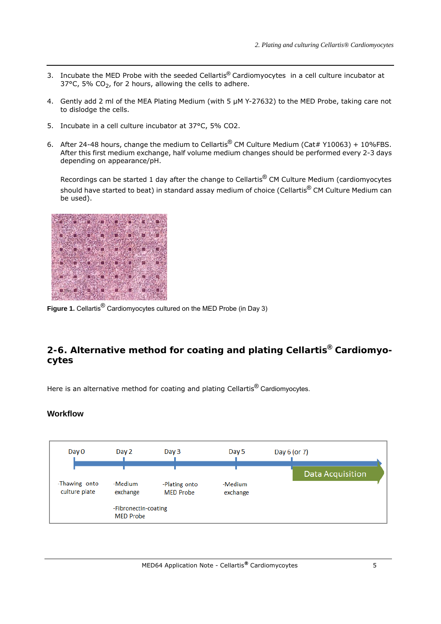- 3. Incubate the MED Probe with the seeded Cellartis® Cardiomyocytes in a cell culture incubator at 37°C, 5%  $CO<sub>2</sub>$ , for 2 hours, allowing the cells to adhere.
- 4. Gently add 2 ml of the MEA Plating Medium (with 5 μM Y-27632) to the MED Probe, taking care not to dislodge the cells.
- 5. Incubate in a cell culture incubator at 37°C, 5% CO2.
- 6. After 24-48 hours, change the medium to Cellartis<sup>®</sup> CM Culture Medium (Cat# Y10063) + 10%FBS. After this first medium exchange, half volume medium changes should be performed every 2-3 days depending on appearance/pH.

Recordings can be started 1 day after the change to Cellartis<sup>®</sup> CM Culture Medium (cardiomyocytes should have started to beat) in standard assay medium of choice (Cellartis® CM Culture Medium can be used).



Fiaure 1. Cellartis<sup>®</sup> Cardiomyocytes cultured on the MED Probe (in Day 3)

### **2-6. Alternative method for coating and plating Cellartis® Cardiomyocytes**

Here is an alternative method for coating and plating Cellartis<sup>®</sup> Cardiomyocytes.

#### **Workflow**

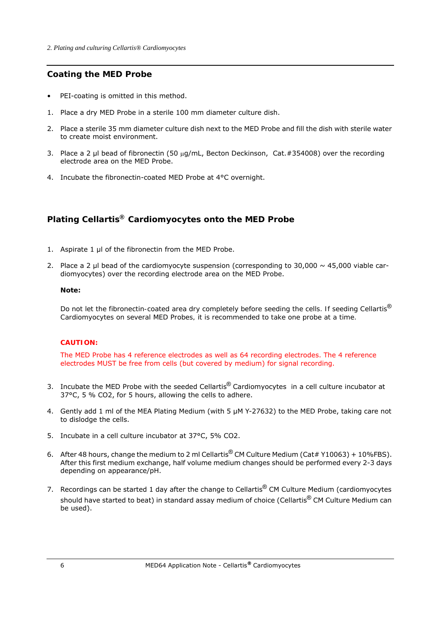### **Coating the MED Probe**

- PEI-coating is omitted in this method.
- 1. Place a dry MED Probe in a sterile 100 mm diameter culture dish.
- 2. Place a sterile 35 mm diameter culture dish next to the MED Probe and fill the dish with sterile water to create moist environment.
- 3. Place a 2 μl bead of fibronectin (50 μg/mL, Becton Deckinson, Cat.#354008) over the recording electrode area on the MED Probe.
- 4. Incubate the fibronectin-coated MED Probe at 4°C overnight.

### **Plating Cellartis® Cardiomyocytes onto the MED Probe**

- 1. Aspirate 1 ul of the fibronectin from the MED Probe.
- 2. Place a 2 µl bead of the cardiomyocyte suspension (corresponding to  $30,000 \sim 45,000$  viable cardiomyocytes) over the recording electrode area on the MED Probe.

#### *Note:*

*Do not let the fibronectin-coated area dry completely before seeding the cells. If seeding Cellartis*® *Cardiomyocytes on several MED Probes, it is recommended to take one probe at a time.*

#### **CAUTION:**

The MED Probe has 4 reference electrodes as well as 64 recording electrodes. The 4 reference electrodes MUST be free from cells (but covered by medium) for signal recording.

- 3. Incubate the MED Probe with the seeded Cellartis<sup>®</sup> Cardiomyocytes in a cell culture incubator at 37°C, 5 % CO2, for 5 hours, allowing the cells to adhere.
- 4. Gently add 1 ml of the MEA Plating Medium (with 5 μM Y-27632) to the MED Probe, taking care not to dislodge the cells.
- 5. Incubate in a cell culture incubator at 37°C, 5% CO2.
- 6. After 48 hours, change the medium to 2 ml Cellartis<sup>®</sup> CM Culture Medium (Cat# Y10063) + 10%FBS). After this first medium exchange, half volume medium changes should be performed every 2-3 days depending on appearance/pH.
- 7. Recordings can be started 1 day after the change to Cellartis<sup>®</sup> CM Culture Medium (cardiomyocytes should have started to beat) in standard assay medium of choice (Cellartis<sup>®</sup> CM Culture Medium can be used).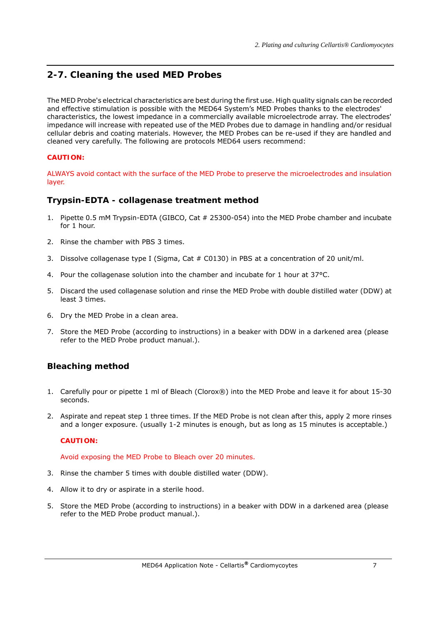### **2-7. Cleaning the used MED Probes**

The MED Probe's electrical characteristics are best during the first use. High quality signals can be recorded and effective stimulation is possible with the MED64 System's MED Probes thanks to the electrodes' characteristics, the lowest impedance in a commercially available microelectrode array. The electrodes' impedance will increase with repeated use of the MED Probes due to damage in handling and/or residual cellular debris and coating materials. However, the MED Probes can be re-used if they are handled and cleaned very carefully. The following are protocols MED64 users recommend:

#### **CAUTION:**

ALWAYS avoid contact with the surface of the MED Probe to preserve the microelectrodes and insulation layer.

#### **Trypsin-EDTA - collagenase treatment method**

- 1. Pipette 0.5 mM Trypsin-EDTA (GIBCO, Cat # 25300-054) into the MED Probe chamber and incubate for 1 hour.
- 2. Rinse the chamber with PBS 3 times.
- 3. Dissolve collagenase type I (Sigma, Cat  $#$  C0130) in PBS at a concentration of 20 unit/ml.
- 4. Pour the collagenase solution into the chamber and incubate for 1 hour at 37°C.
- 5. Discard the used collagenase solution and rinse the MED Probe with double distilled water (DDW) at least 3 times.
- 6. Dry the MED Probe in a clean area.
- 7. Store the MED Probe (according to instructions) in a beaker with DDW in a darkened area (please refer to the MED Probe product manual.).

### **Bleaching method**

- 1. Carefully pour or pipette 1 ml of Bleach (Clorox®) into the MED Probe and leave it for about 15-30 seconds.
- 2. Aspirate and repeat step 1 three times. If the MED Probe is not clean after this, apply 2 more rinses and a longer exposure. (usually 1-2 minutes is enough, but as long as 15 minutes is acceptable.)

#### **CAUTION:**

#### Avoid exposing the MED Probe to Bleach over 20 minutes.

- 3. Rinse the chamber 5 times with double distilled water (DDW).
- 4. Allow it to dry or aspirate in a sterile hood.
- 5. Store the MED Probe (according to instructions) in a beaker with DDW in a darkened area (please refer to the MED Probe product manual.).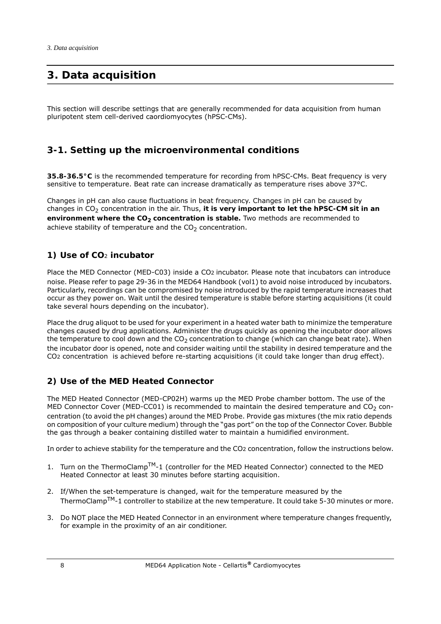### **3. Data acquisition**

This section will describe settings that are generally recommended for data acquisition from human pluripotent stem cell-derived caordiomyocytes (hPSC-CMs).

### **3-1. Setting up the microenvironmental conditions**

**35.8-36.5°C** is the recommended temperature for recording from hPSC-CMs. Beat frequency is very sensitive to temperature. Beat rate can increase dramatically as temperature rises above 37°C.

Changes in pH can also cause fluctuations in beat frequency. Changes in pH can be caused by changes in CO<sub>2</sub> concentration in the air. Thus, it is very important to let the hPSC-CM sit in an environment where the CO<sub>2</sub> concentration is stable. Two methods are recommended to achieve stability of temperature and the  $CO<sub>2</sub>$  concentration.

### **1) Use of CO**<sup>2</sup> **incubator**

Place the MED Connector (MED-C03) inside a CO2 incubator. Please note that incubators can introduce noise. Please refer to page 29-36 in the MED64 Handbook (vol1) to avoid noise introduced by incubators. Particularly, recordings can be compromised by noise introduced by the rapid temperature increases that occur as they power on. Wait until the desired temperature is stable before starting acquisitions (it could take several hours depending on the incubator).

Place the drug aliquot to be used for your experiment in a heated water bath to minimize the temperature changes caused by drug applications. Administer the drugs quickly as opening the incubator door allows the temperature to cool down and the  $CO<sub>2</sub>$  concentration to change (which can change beat rate). When the incubator door is opened, note and consider waiting until the stability in desired temperature and the CO2 concentration is achieved before re-starting acquisitions (it could take longer than drug effect).

### **2) Use of the MED Heated Connector**

The MED Heated Connector (MED-CP02H) warms up the MED Probe chamber bottom. The use of the MED Connector Cover (MED-CC01) is recommended to maintain the desired temperature and  $CO<sub>2</sub>$  concentration (to avoid the pH changes) around the MED Probe. Provide gas mixtures (the mix ratio depends on composition of your culture medium) through the "gas port" on the top of the Connector Cover. Bubble the gas through a beaker containing distilled water to maintain a humidified environment.

In order to achieve stability for the temperature and the CO2 concentration, follow the instructions below.

- 1. Turn on the ThermoClamp<sup>TM</sup>-1 (controller for the MED Heated Connector) connected to the MED Heated Connector at least 30 minutes before starting acquisition.
- 2. If/When the set-temperature is changed, wait for the temperature measured by the ThermoClampTM-1 controller to stabilize at the new temperature. It could take 5-30 minutes or more.
- 3. Do NOT place the MED Heated Connector in an environment where temperature changes frequently, for example in the proximity of an air conditioner.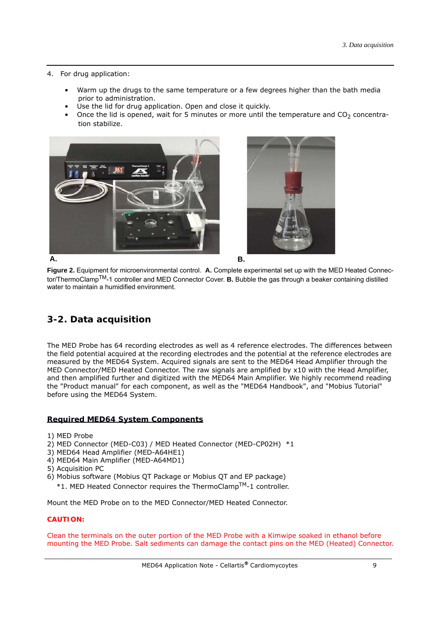#### 4. For drug application:

- Warm up the drugs to the same temperature or a few degrees higher than the bath media prior to administration.
- Use the lid for drug application. Open and close it quickly.
- Once the lid is opened, wait for 5 minutes or more until the temperature and  $CO<sub>2</sub>$  concentration stabilize.





**Figure 2.** Equipment for microenvironmental control. **A.** Complete experimental set up with the MED Heated Connector/ThermoClampTM-1 controller and MED Connector Cover. **B.** Bubble the gas through a beaker containing distilled water to maintain a humidified environment.

### **3-2. Data acquisition**

The MED Probe has 64 recording electrodes as well as 4 reference electrodes. The differences between the field potential acquired at the recording electrodes and the potential at the reference electrodes are measured by the MED64 System. Acquired signals are sent to the MED64 Head Amplifier through the MED Connector/MED Heated Connector. The raw signals are amplified by x10 with the Head Amplifier, and then amplified further and digitized with the MED64 Main Amplifier. We highly recommend reading the "Product manual" for each component, as well as the "MED64 Handbook", and "Mobius Tutorial" before using the MED64 System.

#### **Required MED64 System Components**

- 1) MED Probe
- 2) MED Connector (MED-C03) / MED Heated Connector (MED-CP02H) \*1
- 3) MED64 Head Amplifier (MED-A64HE1)
- 4) MED64 Main Amplifier (MED-A64MD1)
- 5) Acquisition PC
- 6) Mobius software (Mobius QT Package or Mobius QT and EP package)
- \*1. MED Heated Connector requires the ThermoClampTM-1 controller.

Mount the MED Probe on to the MED Connector/MED Heated Connector.

#### **CAUTION:**

Clean the terminals on the outer portion of the MED Probe with a Kimwipe soaked in ethanol before mounting the MED Probe. Salt sediments can damage the contact pins on the MED (Heated) Connector.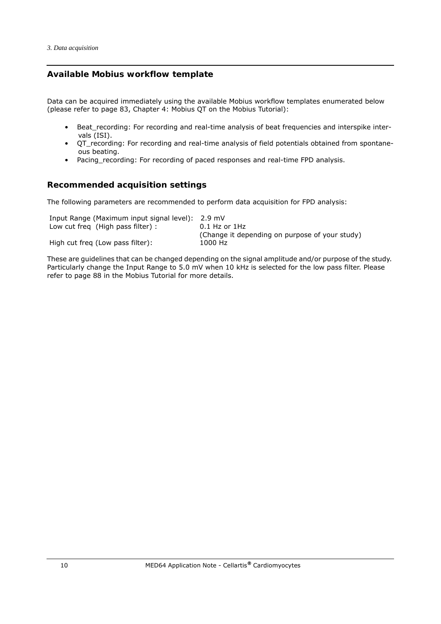### **Available Mobius workflow template**

Data can be acquired immediately using the available Mobius workflow templates enumerated below (please refer to page 83, Chapter 4: Mobius QT on the Mobius Tutorial):

- Beat recording: For recording and real-time analysis of beat frequencies and interspike intervals (ISI).
- QT\_recording: For recording and real-time analysis of field potentials obtained from spontaneous beating.
- Pacing recording: For recording of paced responses and real-time FPD analysis.

### **Recommended acquisition settings**

The following parameters are recommended to perform data acquisition for FPD analysis:

| Input Range (Maximum input signal level): 2.9 mV |                                                |
|--------------------------------------------------|------------------------------------------------|
| Low cut freg (High pass filter) :                | $0.1$ Hz or $1$ Hz                             |
|                                                  | (Change it depending on purpose of your study) |
| High cut freg (Low pass filter):                 | 1000 Hz                                        |

These are guidelines that can be changed depending on the signal amplitude and/or purpose of the study. Particularly change the Input Range to 5.0 mV when 10 kHz is selected for the low pass filter. Please refer to page 88 in the Mobius Tutorial for more details.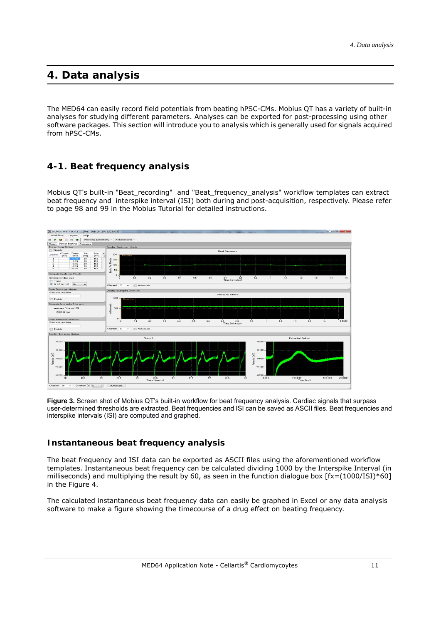### **4. Data analysis**

The MED64 can easily record field potentials from beating hPSC-CMs. Mobius QT has a variety of built-in analyses for studying different parameters. Analyses can be exported for post-processing using other software packages. This section will introduce you to analysis which is generally used for signals acquired from hPSC-CMs.

### **4-1. Beat frequency analysis**

Mobius QT's built-in "Beat\_recording" and "Beat\_frequency\_analysis" workflow templates can extract beat frequency and interspike interval (ISI) both during and post-acquisition, respectively. Please refer to page 98 and 99 in the Mobius Tutorial for detailed instructions.



**Figure 3.** Screen shot of Mobius QT's built-in workflow for beat frequency analysis. Cardiac signals that surpass user-determined thresholds are extracted. Beat frequencies and ISI can be saved as ASCII files. Beat frequencies and interspike intervals (ISI) are computed and graphed.

### **Instantaneous beat frequency analysis**

The beat frequency and ISI data can be exported as ASCII files using the aforementioned workflow templates. Instantaneous beat frequency can be calculated dividing 1000 by the Interspike Interval (in milliseconds) and multiplying the result by 60, as seen in the function dialogue box  $[x=(1000/ISI)*60]$ in the Figure 4.

The calculated instantaneous beat frequency data can easily be graphed in Excel or any data analysis software to make a figure showing the timecourse of a drug effect on beating frequency.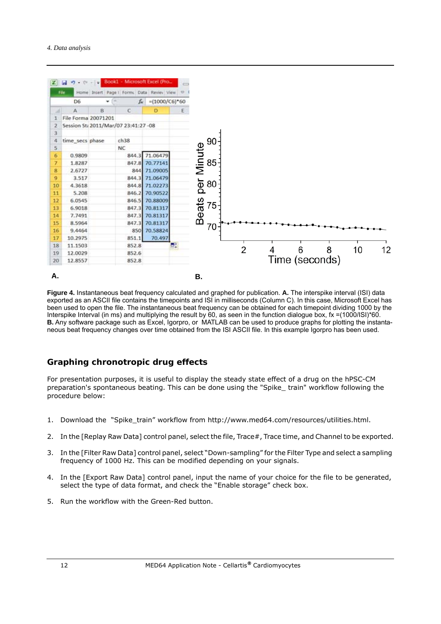

**Figure 4.** Instantaneous beat frequency calculated and graphed for publication. **A.** The interspike interval (ISI) data exported as an ASCII file contains the timepoints and ISI in milliseconds (Column C). In this case, Microsoft Excel has been used to open the file. The instantaneous beat frequency can be obtained for each timepoint dividing 1000 by the Interspike Interval (in ms) and multiplying the result by 60, as seen in the function dialogue box, fx =(1000/ISI)\*60. **B.** Any software package such as Excel, Igorpro, or MATLAB can be used to produce graphs for plotting the instantaneous beat frequency changes over time obtained from the ISI ASCII file. In this example Igorpro has been used.

### **Graphing chronotropic drug effects**

For presentation purposes, it is useful to display the steady state effect of a drug on the hPSC-CM preparation's spontaneous beating. This can be done using the "Spike\_ train" workflow following the procedure below:

- 1. Download the "Spike train" workflow from http://www.med64.com/resources/utilities.html.
- 2. In the [Replay Raw Data] control panel, select the file, Trace#, Trace time, and Channel to be exported.
- 3. In the [Filter Raw Data] control panel, select "Down-sampling" for the Filter Type and select a sampling frequency of 1000 Hz. This can be modified depending on your signals.
- 4. In the [Export Raw Data] control panel, input the name of your choice for the file to be generated, select the type of data format, and check the "Enable storage" check box.
- 5. Run the workflow with the Green-Red button.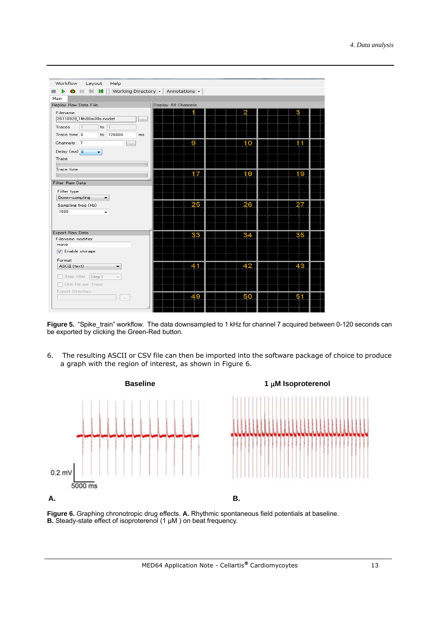

Figure 5. "Spike train" workflow. The data downsampled to 1 kHz for channel 7 acquired between 0-120 seconds can be exported by clicking the Green-Red button.

6. The resulting ASCII or CSV file can then be imported into the software package of choice to produce a graph with the region of interest, as shown in Figure 6.



**Figure 6.** Graphing chronotropic drug effects. **A.** Rhythmic spontaneous field potentials at baseline. **B.** Steady-state effect of isoproterenol (1 μM ) on beat frequency.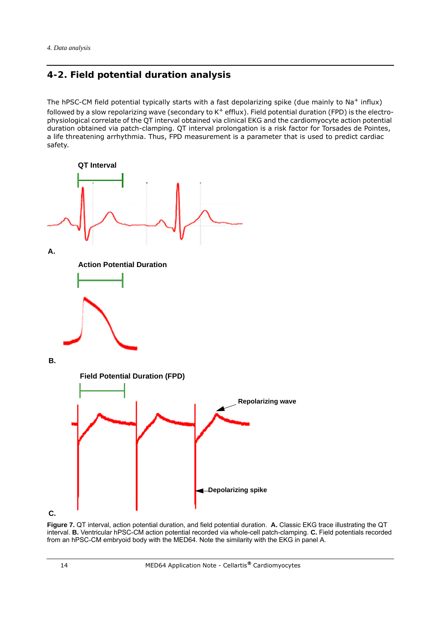### **4-2. Field potential duration analysis**

The hPSC-CM field potential typically starts with a fast depolarizing spike (due mainly to Na<sup>+</sup> influx) followed by a slow repolarizing wave (secondary to  $K^+$  efflux). Field potential duration (FPD) is the electrophysiological correlate of the QT interval obtained via clinical EKG and the cardiomyocyte action potential duration obtained via patch-clamping. QT interval prolongation is a risk factor for Torsades de Pointes, a life threatening arrhythmia. Thus, FPD measurement is a parameter that is used to predict cardiac safety.



**Figure 7.** QT interval, action potential duration, and field potential duration. **A.** Classic EKG trace illustrating the QT interval. **B.** Ventricular hPSC-CM action potential recorded via whole-cell patch-clamping. **C.** Field potentials recorded from an hPSC-CM embryoid body with the MED64. Note the similarity with the EKG in panel A.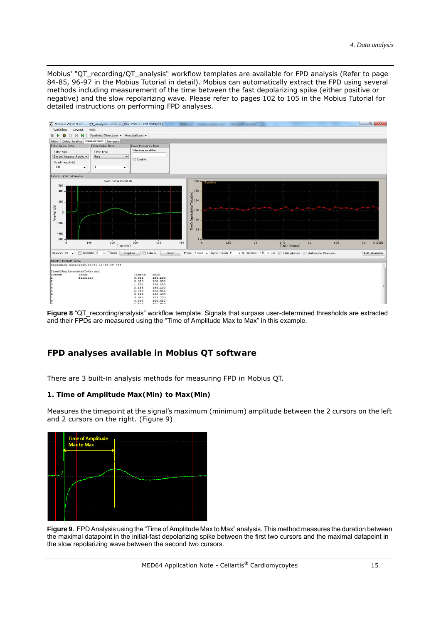Mobius' "QT\_recording/QT\_analysis" workflow templates are available for FPD analysis (Refer to page 84-85, 96-97 in the Mobius Tutorial in detail). Mobius can automatically extract the FPD using several methods including measurement of the time between the fast depolarizing spike (either positive or negative) and the slow repolarizing wave. Please refer to pages 102 to 105 in the Mobius Tutorial for detailed instructions on performing FPD analyses.



**Figure 8** "QT\_recording/analysis" workflow template. Signals that surpass user-determined thresholds are extracted and their FPDs are measured using the "Time of Amplitude Max to Max" in this example.

### **FPD analyses available in Mobius QT software**

There are 3 built-in analysis methods for measuring FPD in Mobius QT.

#### **1. Time of Amplitude Max(Min) to Max(Min)**

Measures the timepoint at the signal's maximum (minimum) amplitude between the 2 cursors on the left and 2 cursors on the right. (Figure 9)



**Figure 9.** FPD Analysis using the "Time of Amplitude Max to Max" analysis. This method measures the duration between the maximal datapoint in the initial**-**fast depolarizing spike between the first two cursors and the maximal datapoint in the slow repolarizing wave between the second two cursors.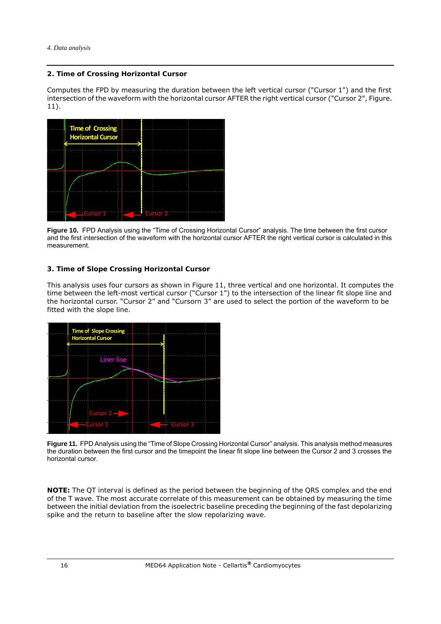#### **2. Time of Crossing Horizontal Cursor**

Computes the FPD by measuring the duration between the left vertical cursor ("Cursor 1") and the first intersection of the waveform with the horizontal cursor AFTER the right vertical cursor ("Cursor 2", Figure. 11).



**Figure 10.** FPD Analysis using the "Time of Crossing Horizontal Cursor" analysis. The time between the first cursor and the first intersection of the waveform with the horizontal cursor AFTER the right vertical cursor is calculated in this measurement.

#### **3. Time of Slope Crossing Horizontal Cursor**

This analysis uses four cursors as shown in Figure 11, three vertical and one horizontal. It computes the time between the left-most vertical cursor ("Cursor 1") to the intersection of the linear fit slope line and the horizontal cursor. "Cursor 2" and "Cursorn 3" are used to select the portion of the waveform to be fitted with the slope line.



**Figure 11.** FPD Analysis using the "Time of Slope Crossing Horizontal Cursor" analysis. This analysis method measures the duration between the first cursor and the timepoint the linear fit slope line between the Cursor 2 and 3 crosses the horizontal cursor.

*NOTE: The QT interval is defined as the period between the beginning of the QRS complex and the end of the T wave. The most accurate correlate of this measurement can be obtained by measuring the time*  between the initial deviation from the isoelectric baseline preceding the beginning of the fast depolarizing *spike and the return to baseline after the slow repolarizing wave.*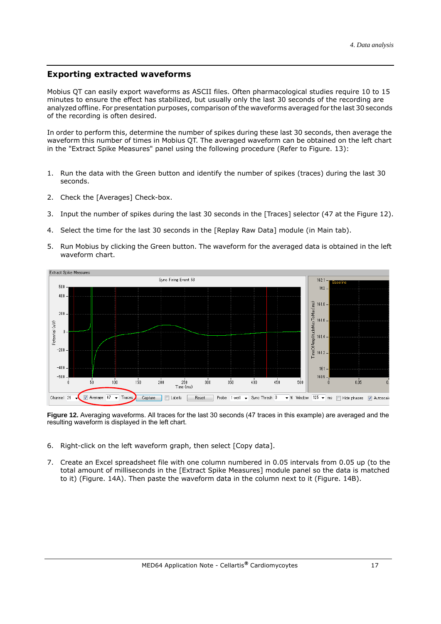#### **Exporting extracted waveforms**

Mobius QT can easily export waveforms as ASCII files. Often pharmacological studies require 10 to 15 minutes to ensure the effect has stabilized, but usually only the last 30 seconds of the recording are analyzed offline. For presentation purposes, comparison of the waveforms averaged for the last 30 seconds of the recording is often desired.

In order to perform this, determine the number of spikes during these last 30 seconds, then average the waveform this number of times in Mobius QT. The averaged waveform can be obtained on the left chart in the "Extract Spike Measures" panel using the following procedure (Refer to Figure. 13):

- 1. Run the data with the Green button and identify the number of spikes (traces) during the last 30 seconds.
- 2. Check the [Averages] Check-box.
- 3. Input the number of spikes during the last 30 seconds in the [Traces] selector (47 at the Figure 12).
- 4. Select the time for the last 30 seconds in the [Replay Raw Data] module (in Main tab).
- 5. Run Mobius by clicking the Green button. The waveform for the averaged data is obtained in the left waveform chart.



**Figure 12.** Averaging waveforms. All traces for the last 30 seconds (47 traces in this example) are averaged and the resulting waveform is displayed in the left chart.

- 6. Right-click on the left waveform graph, then select [Copy data].
- 7. Create an Excel spreadsheet file with one column numbered in 0.05 intervals from 0.05 up (to the total amount of milliseconds in the [Extract Spike Measures] module panel so the data is matched to it) (Figure. 14A). Then paste the waveform data in the column next to it (Figure. 14B).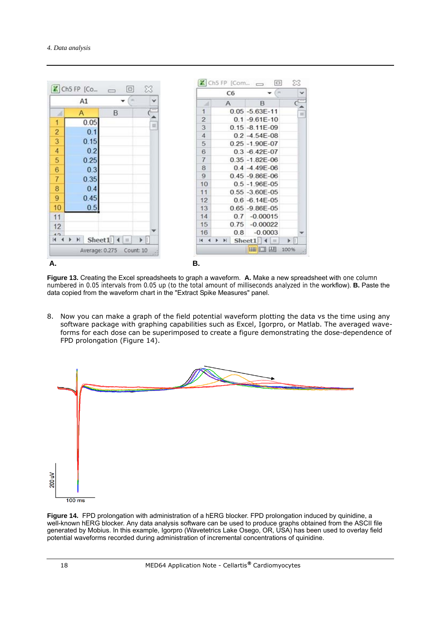|            | K Ch5 FP [Co   | $\Box$<br>$\equiv$ | X                     |                                        | C6                    |                                            |
|------------|----------------|--------------------|-----------------------|----------------------------------------|-----------------------|--------------------------------------------|
|            | A1             | ×                  | v                     |                                        | Α                     | B                                          |
|            | A              | В                  |                       | $\overline{1}$                         |                       | $0.05 - 5.63E - 11$                        |
| $\ddagger$ | 0.05           |                    |                       | $\overline{2}$                         |                       | $0.1 - 9.61E - 10$                         |
|            | 0.1            |                    | ú.                    | 3                                      |                       | $0.15 - 8.11E - 09$                        |
|            |                |                    |                       | $\overline{4}$                         |                       | $0.2 - 4.54E - 08$                         |
|            | 0.15           |                    |                       | 5                                      |                       | $0.25 - 1.90E - 07$                        |
|            | 0.2            |                    |                       | 6                                      |                       | $0.3 - 6.42E - 07$                         |
|            | 0.25           |                    |                       | $\overline{I}$                         |                       | $0.35 - 1.82E - 06$                        |
|            | 0.3            |                    |                       | 8                                      |                       | $0.4 - 4.49E - 06$                         |
|            | 0.35           |                    |                       | 9                                      |                       | $0.45 - 9.86E - 06$                        |
|            |                |                    |                       | 10                                     |                       | $0.5 - 1.96E - 05$                         |
|            | 0.4            |                    |                       | 11                                     |                       | 0.55 - 3.60E-05                            |
|            | 0.45           |                    |                       | 12                                     |                       | $0.6 - 6.14E - 05$                         |
|            | 0.5            |                    |                       | 13                                     |                       | $0.65 - 9.86E - 05$                        |
|            |                |                    |                       | 14                                     | 0.7                   | $-0.00015$                                 |
|            |                |                    |                       | 15                                     | 0.75                  | $-0.00022$                                 |
|            |                |                    |                       | 16                                     | 0.8                   | $-0.0003$                                  |
|            | Ы              | Sheet $1$ 4<br>国   | $\blacktriangleright$ | $\blacksquare$<br>$\blacktriangleleft$ | $\blacktriangleright$ | Sheet1 $\parallel$ $\parallel$ $\parallel$ |
|            | Average: 0.275 | Count: 10          |                       |                                        |                       | 田口凹                                        |

**Figure 13.** Creating the Excel spreadsheets to graph a waveform. **A.** Make a new spreadsheet with one column numbered in 0.05 intervals from 0.05 up (to the total amount of milliseconds analyzed in the workflow). **B.** Paste the data copied from the waveform chart in the "Extract Spike Measures" panel.

 $\boxed{\Box}$ 

回凹 100%

 $\blacktriangleright$ 

X  $\ddot{\phantom{0}}$ 

Ξ

8. Now you can make a graph of the field potential waveform plotting the data vs the time using any software package with graphing capabilities such as Excel, Igorpro, or Matlab. The averaged waveforms for each dose can be superimposed to create a figure demonstrating the dose-dependence of FPD prolongation (Figure 14).



**Figure 14.** FPD prolongation with administration of a hERG blocker. FPD prolongation induced by quinidine, a well-known hERG blocker. Any data analysis software can be used to produce graphs obtained from the ASCII file generated by Mobius. In this example, Igorpro (Wavetetrics Lake Osego, OR, USA) has been used to overlay field potential waveforms recorded during administration of incremental concentrations of quinidine.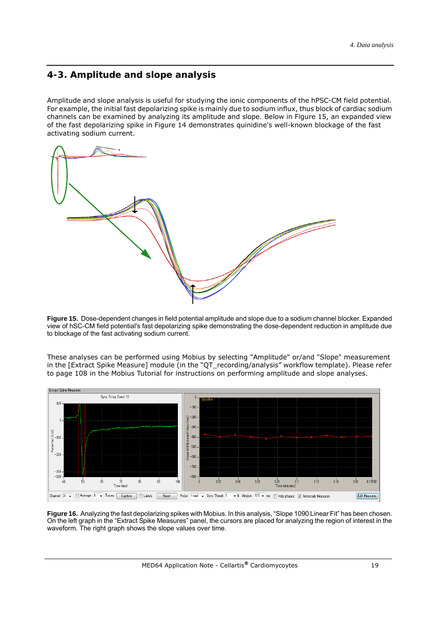### **4-3. Amplitude and slope analysis**

Amplitude and slope analysis is useful for studying the ionic components of the hPSC-CM field potential. For example, the initial fast depolarizing spike is mainly due to sodium influx, thus block of cardiac sodium channels can be examined by analyzing its amplitude and slope. Below in Figure 15, an expanded view of the fast depolarizing spike in Figure 14 demonstrates quinidine's well-known blockage of the fast activating sodium current.



**Figure 15.** Dose-dependent changes in field potential amplitude and slope due to a sodium channel blocker. Expanded view of hSC-CM field potential's fast depolarizing spike demonstrating the dose-dependent reduction in amplitude due to blockage of the fast activating sodium current.

These analyses can be performed using Mobius by selecting "Amplitude" or/and "Slope" measurement in the [Extract Spike Measure] module (in the "QT\_recording/analysis" workflow template). Please refer to page 108 in the Mobius Tutorial for instructions on performing amplitude and slope analyses.



**Figure 16.** Analyzing the fast depolarizing spikes with Mobius. In this analysis, "Slope 1090 Linear Fit" has been chosen. On the left graph in the "Extract Spike Measures" panel, the cursors are placed for analyzing the region of interest in the waveform. The right graph shows the slope values over time.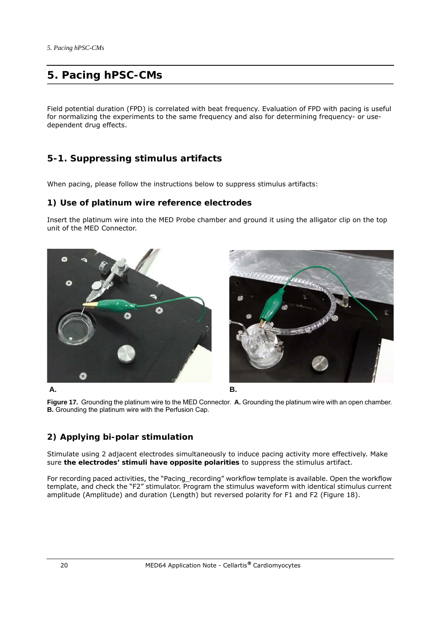### **5. Pacing hPSC-CMs**

Field potential duration (FPD) is correlated with beat frequency. Evaluation of FPD with pacing is useful for normalizing the experiments to the same frequency and also for determining frequency- or usedependent drug effects.

### **5-1. Suppressing stimulus artifacts**

When pacing, please follow the instructions below to suppress stimulus artifacts:

#### **1) Use of platinum wire reference electrodes**

Insert the platinum wire into the MED Probe chamber and ground it using the alligator clip on the top unit of the MED Connector.







**Figure 17.** Grounding the platinum wire to the MED Connector. **A.** Grounding the platinum wire with an open chamber. **B.** Grounding the platinum wire with the Perfusion Cap.

### **2) Applying bi-polar stimulation**

Stimulate using 2 adjacent electrodes simultaneously to induce pacing activity more effectively. Make sure **the electrodes' stimuli have opposite polarities** to suppress the stimulus artifact.

For recording paced activities, the "Pacing recording" workflow template is available. Open the workflow template, and check the "F2" stimulator. Program the stimulus waveform with identical stimulus current amplitude (Amplitude) and duration (Length) but reversed polarity for F1 and F2 (Figure 18).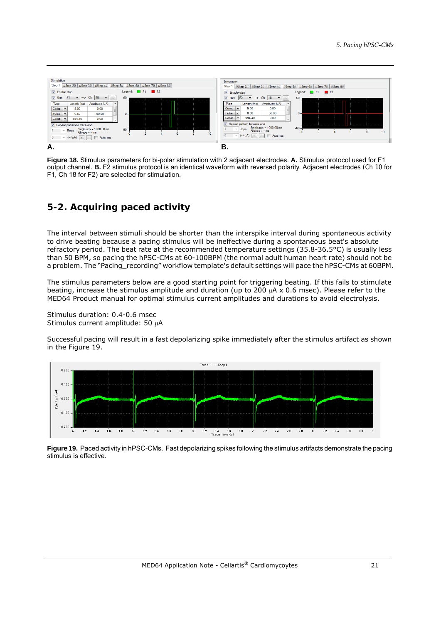

**Figure 18.** Stimulus parameters for bi-polar stimulation with 2 adjacent electrodes. **A.** Stimulus protocol used for F1 output channel. **B.** F2 stimulus protocol is an identical waveform with reversed polarity. Adjacent electrodes (Ch 10 for F1, Ch 18 for F2) are selected for stimulation.

### **5-2. Acquiring paced activity**

The interval between stimuli should be shorter than the interspike interval during spontaneous activity to drive beating because a pacing stimulus will be ineffective during a spontaneous beat's absolute refractory period. The beat rate at the recommended temperature settings (35.8-36.5°C) is usually less than 50 BPM, so pacing the hPSC-CMs at 60-100BPM (the normal adult human heart rate) should not be a problem. The "Pacing recording" workflow template's default settings will pace the hPSC-CMs at 60BPM.

The stimulus parameters below are a good starting point for triggering beating. If this fails to stimulate beating, increase the stimulus amplitude and duration (up to 200  $\mu$ A x 0.6 msec). Please refer to the MED64 Product manual for optimal stimulus current amplitudes and durations to avoid electrolysis.

Stimulus duration: 0.4-0.6 msec Stimulus current amplitude: 50 µA

Successful pacing will result in a fast depolarizing spike immediately after the stimulus artifact as shown in the Figure 19.



**Figure 19.** Paced activity in hPSC-CMs.Fast depolarizing spikes following the stimulus artifacts demonstrate the pacing stimulus is effective.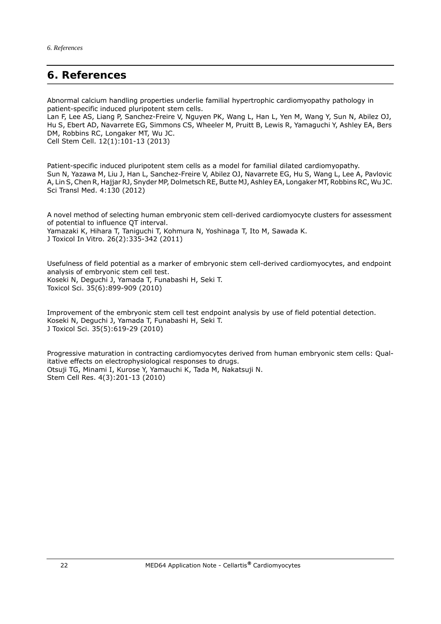### **6. References**

Abnormal calcium handling properties underlie familial hypertrophic cardiomyopathy pathology in patient-specific induced pluripotent stem cells.

Lan F, Lee AS, Liang P, Sanchez-Freire V, Nguyen PK, Wang L, Han L, Yen M, Wang Y, Sun N, Abilez OJ, Hu S, Ebert AD, Navarrete EG, Simmons CS, Wheeler M, Pruitt B, Lewis R, Yamaguchi Y, Ashley EA, Bers DM, Robbins RC, Longaker MT, Wu JC.

Cell Stem Cell. 12(1):101-13 (2013)

Patient-specific induced pluripotent stem cells as a model for familial dilated cardiomyopathy. Sun N, Yazawa M, Liu J, Han L, Sanchez-Freire V, Abilez OJ, Navarrete EG, Hu S, Wang L, Lee A, Pavlovic A, Lin S, Chen R, Hajjar RJ, Snyder MP, Dolmetsch RE, Butte MJ, Ashley EA, Longaker MT, Robbins RC, Wu JC. Sci Transl Med. 4:130 (2012)

A novel method of selecting human embryonic stem cell-derived cardiomyocyte clusters for assessment of potential to influence QT interval. Yamazaki K, Hihara T, Taniguchi T, Kohmura N, Yoshinaga T, Ito M, Sawada K. J Toxicol In Vitro. 26(2):335-342 (2011)

Usefulness of field potential as a marker of embryonic stem cell-derived cardiomyocytes, and endpoint analysis of embryonic stem cell test. Koseki N, Deguchi J, Yamada T, Funabashi H, Seki T. Toxicol Sci. 35(6):899-909 (2010)

Improvement of the embryonic stem cell test endpoint analysis by use of field potential detection. Koseki N, Deguchi J, Yamada T, Funabashi H, Seki T. J Toxicol Sci. 35(5):619-29 (2010)

Progressive maturation in contracting cardiomyocytes derived from human embryonic stem cells: Qualitative effects on electrophysiological responses to drugs. Otsuji TG, Minami I, Kurose Y, Yamauchi K, Tada M, Nakatsuji N. Stem Cell Res. 4(3):201-13 (2010)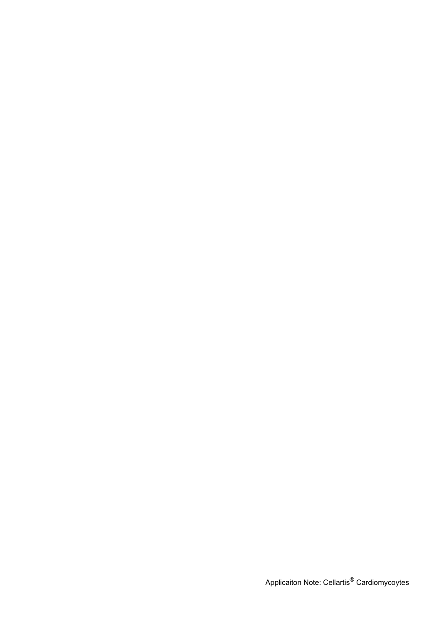Applicaiton Note: Cellartis® Cardiomycoytes